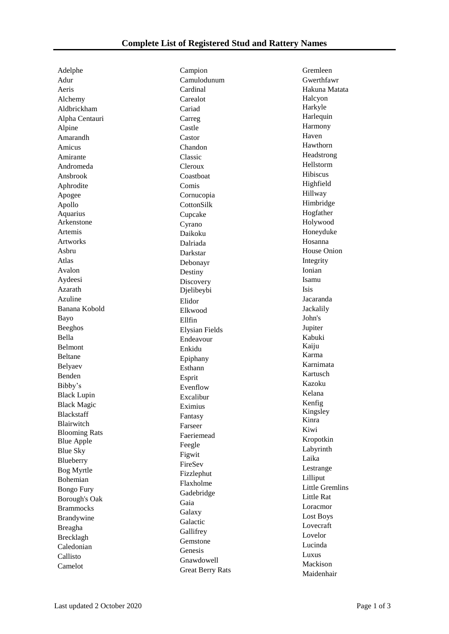Adelphe Adur Aeris Alchemy Aldbrickham Alpha Centauri Alpine Amarandh Amicus Amirante Andromeda Ansbrook Aphrodite Apogee Apollo Aquarius Arkenstone Artemis Artworks Asbru Atlas Avalon Aydeesi Azarath Azuline Banana Kobold Bayo Beeghos Bella Belmont Beltane Belyaev Benden Bibby's Black Lupin Black Magic Blackstaff Blairwitch Blooming Rats Blue Apple Blue Sky Blueberry Bog Myrtle Bohemian Bongo Fury Borough's Oak Brammocks Brandywine Breagha Brecklagh Caledonian Callisto Camelot

Campion Camulodunum Cardinal Carealot Cariad Carreg Castle Castor Chandon Classic Cleroux Coastboat Comis Cornucopia CottonSilk Cupcake Cyrano Daikoku Dalriada Darkstar Debonayr Destiny Discovery Djelibeybi Elidor Elkwood Ellfin Elysian Fields Endeavour Enkidu Epiphany Esthann Esprit Evenflow Excalibur Eximius Fantasy Farseer Faeriemead Feegle Figwit FireSev Fizzlephut Flaxholme Gadebridge Gaia Galaxy Galactic **Gallifrey** Gemstone Genesis Gnawdowell Great Berry Rats Gremleen Gwerthfawr Hakuna Matata Halcyon Harkyle Harlequin Harmony Haven Hawthorn Headstrong Hellstorm Hibiscus Highfield Hillway Himbridge Hogfather Holywood Honeyduke Hosanna House Onion Integrity Ionian Isamu Isis Jacaranda Jackalily John's Jupiter Kabuki Kaiju Karma Karnimata Kartusch Kazoku Kelana Kenfig Kingsley Kinra Kiwi Kropotkin Labyrinth Laika Lestrange Lilliput Little Gremlins Little Rat Loracmor Lost Boys Lovecraft Lovelor Lucinda Luxus Mackison Maidenhair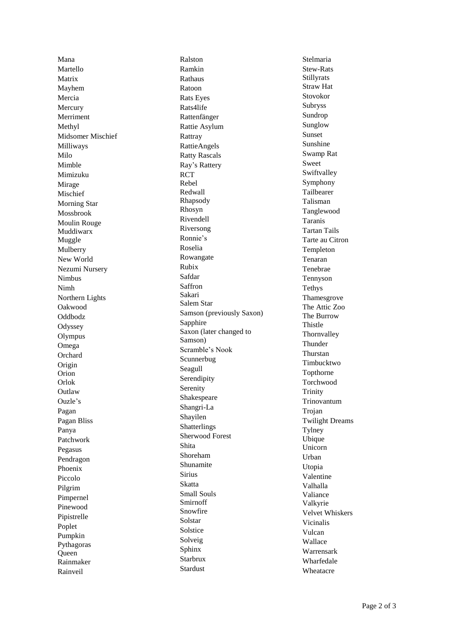Mana Martello Matrix Mayhem Mercia Mercury Merriment Methyl Midsomer Mischief Milliways Milo Mimble Mimizuku Mirage Mischief Morning Star Mossbrook Moulin Rouge Muddiwarx Muggle Mulberry New World Nezumi Nursery Nimbus Nimh Northern Lights Oakwood Oddbodz **Odyssey** Olympus Omega **Orchard** Origin Orion Orlok **Outlaw** Ouzle ' s Pagan Pagan Bliss Panya Patchwork Pegasus Pendragon Phoenix Piccolo Pilgrim Pimpernel Pinewood Pipistrelle Poplet Pumpkin Pythagoras **Oueen** Rainmaker Rainveil

Ralston Ramkin Rathaus Ratoon Rats Eyes Rats4life Rattenfänger Rattie Asylum Rattray RattieAngels Ratty Rascals Ray 's Rattery RCT Rebel Redwall Rhapsody Rhosyn Rivendell Riversong Ronnie's Roselia Rowangate Rubix Safdar Saffron Sakari Salem Star Samson (previously Saxon) Sapphire Saxon (later changed to Samson) Scramble's Nook Scunnerbug Seagull Serendipity Serenity Shakespeare Shangri -La Shayilen Shatterlings Sherwood Forest Shita Shoreham Shunamite Sirius Skatta Small Souls Smirnoff Snowfire Solstar Solstice Solveig Sphinx Starbrux Stardust

Stelmaria Stew -Rats Stillyrats Straw Hat Stovokor Subryss Sundrop Sunglow Sunset Sunshine Swamp Rat Sweet Swiftvalley Symphony Tailbearer Talisman Tanglewood Taranis Tartan Tails Tarte au Citron Templeton Tenaran Tenebrae Tennyson Tethys Thamesgrove The Attic Zoo The Burrow Thistle Thornvalley Thunder Thurstan Timbucktwo Topthorne Torchwood Trinity Trinovantum Trojan Twilight Dreams Tylney Ubique Unicorn Urban Utopia Valentine Valhalla Valiance Valkyrie Velvet Whiskers Vicinalis Vulcan Wallace Warrensark Wharfedale Wheatacre